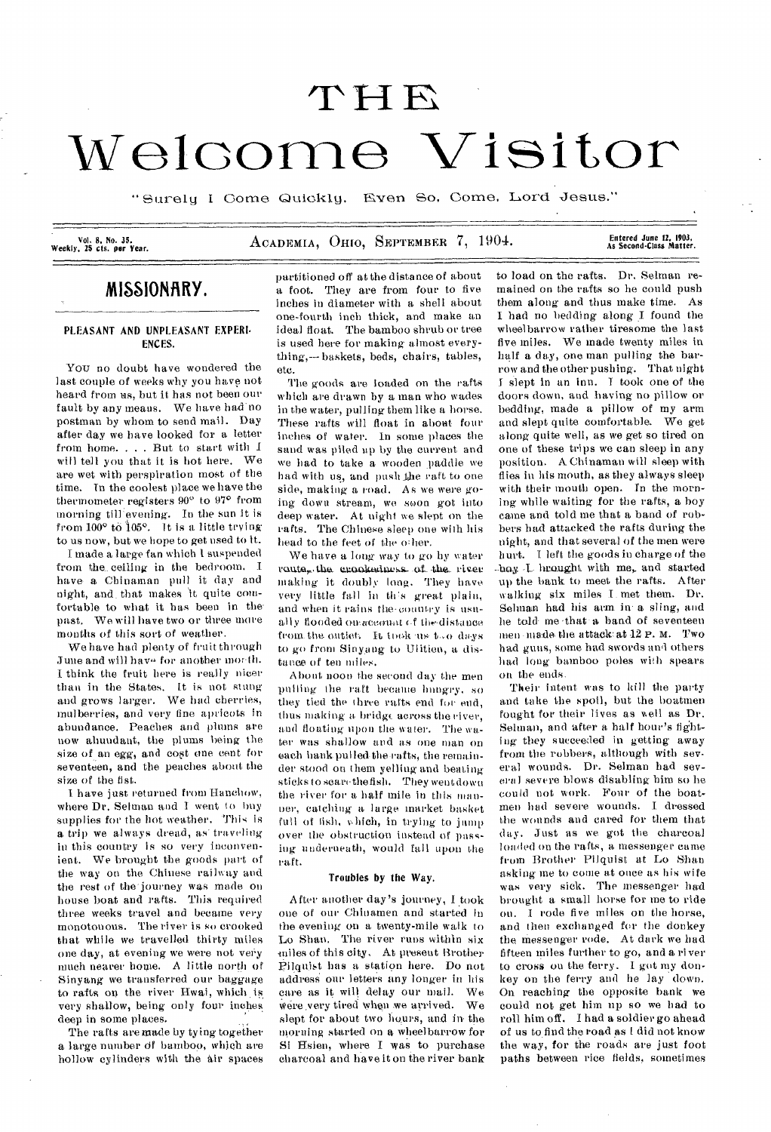# THE Welcome Visitor

" Surely I Come Quickly. Even So, Come, Lord Jesus."

Vol. 8, No. 35.<br>Weekly, 25 cts. per Year.

ACADEMIA, OHIO, SEPTEMBER 7, 1904.

Entered June 12, 1903,<br>As Second-Class Matter.

# **MISSIONARY.**

## PLEASANT AND UNPLEASANT EXPERI. ENCES.

You no doubt have wondered the last couple of weeks why you have not heard from us, but it has not been our fault by any means. We have had no postman by whom to send mail. Day after day we have looked for a letter from home. . . . But to start with I will tell you that it is hot here. We are wet with perspiration most of the time. In the coolest place we have the thermometer registers 90" to 97° from morning till evening. In the sun it is from 100° to 105°. It is a little trying to us now, but we hope to get used to it.

I made a large fan which 1 suspended from the. ceiling in the bedroom. I have- a Chinaman pull it day and night, and\_ that makes it quite comfortable to what it has been in the past. We will have two or three more months of this sort of weather.

We have had plenty of fruit through June and will have for another morth. I think the fruit here is really nicer than in the States. It is not stung and grows larger. We had cherries, mulberries, and very fine apricots in abundance. Peaches and plums are now abundant, the plums being the size of an *egg,* and cost one cent for seventeen, and the peaches about the size of the fist.

I have just returned from Hanchow, where Dr. Selman and I went to buy supplies for the hot weather. This is a trip we always dread, as traveling in this country is so very inconvenient. We brought the goods part of the way on the Chinese railway and the rest of the journey was made on house boat and rafts. This required three weeks travel and became very monotonous. The river is so crooked that while we travelled thirty miles one day, at evening we were not very much nearer home. A little north of Sinyang we transferred our baggage to rafts on the river Hwai, which \_is very shallow, being only four inches deep in some places.

The rafts are made by tying together a large number df bamboo, which are hollow cylinders with the air spaces

partitioned off at the distance of about a foot. They are from four to five inches in diameter with a shell about one-fourth inch thick, and make an ideal float. The bamboo shrub or tree is used here for making almost everything,--- baskets, beds, chairs, tables, etc.

The goods are loaded on the rafts which are drawn by a man who wades in the water, pulling them like a horse. These rafts will float in about four inches of water. In some places the sand was piled up by the current and we had to take a wooden paddle we had with us, and push the raft to one side, making a road. As we were going- down stream, we soon got into deep water. At night we slept on the rafts. The Chinese sleep one with his head to the feet of the other.

We have a long way to go by water route, the crookedness of the river making it doubly long. They have very little fall in this great plain, and when it rains the-country is usually flooded on account of the distance from the outlet. It took us too days to go from Sinyang to Ulitien, a distance of ten miles.

About noon the second day the men pulling the raft became hungry, so they tied the three rafts end for end, thus making a bridge across the river, and floating upon the water. The water was shallow and as one man on each hank pulled the rafts, the remainder stood on them yelling and beating sticks to scare the fish. They wentdown the river for a half mile in this manner, catching a large market basket full of fish, which, in trying to jump over the obstruction instead of passing underneath, would fall upon the raft.

#### Troubles by the Way.

After another day's journey, I took one of our Chinamen and started in the evening on a twenty-mile walk to Lo Shan. The river runs within six miles of this city. At present Brother Pilguist has a station here. Do not address our letters any longer in his care as it will delay our mail. We were very tired when we arrived. We slept for about two hours, and in-the morning started on a wheelbarrow for Si Hsien, where I was to purchase charcoal and have it on the river bank to load on the rafts. Dr. Selman remained on the rafts so he could push them along and thus make time. As I had no bedding along I found the wheelbarrow rather tiresome the last five miles. We made twenty miles in half a day, one man pulling the barrow and the other pushing. That night I slept in an inn. T took one of the doors down, and having no pillow or bedding, made a pillow of my arm and slept quite comfortable. We get along quite well, as we get so tired on one of these trips we can sleep in any position. A Chinaman will sleep with flies in his mouth, as they always sleep with their mouth open. In the morning while waiting for the rafts, a boy came and told me that a band of robbers had attacked the rafts during the night, and that several of the men were hurt. I left the goods in charge of the -boy I brought with me, and started up the bank to meet the rafts. After walking six miles I met them. Dr. Selman had his arm in a sling, and he told me -that -a band of seventeen men -made- the attack. at 12 P. M. Two had guns, some had swords and others had long bamboo poles with spears on the ends.

Their intent was to kill the party and take the spoil, but the boatmen fought for their lives as well as Dr. Selman, and after a half hour's fighting they succeeded in getting away from the robbers, although with several wounds. Dr. Selman had several severe blows disabling him so he could not work. Four of the boatmen had severe wounds. I dressed the wounds and cared for them that day. Just as we got the charcoal loaded on the rafts, a messenger came from Brother Pilquist at Lo Shan asking me to come at once as his wife was very sick. The messenger had brought a small horse for me to ride on. I rode five miles on the horse, and then exchanged for the donkey the messenger rode. At dark we had fifteen miles further to go, and a river to cross on the ferry. I got my donkey on the ferry and he lay down. On reaching the opposite bank we could not get him up so we had to roll him off. I had a soldier go ahead of us to find the road as L did not know the way, for the roads are just foot paths between rice fields, sometimes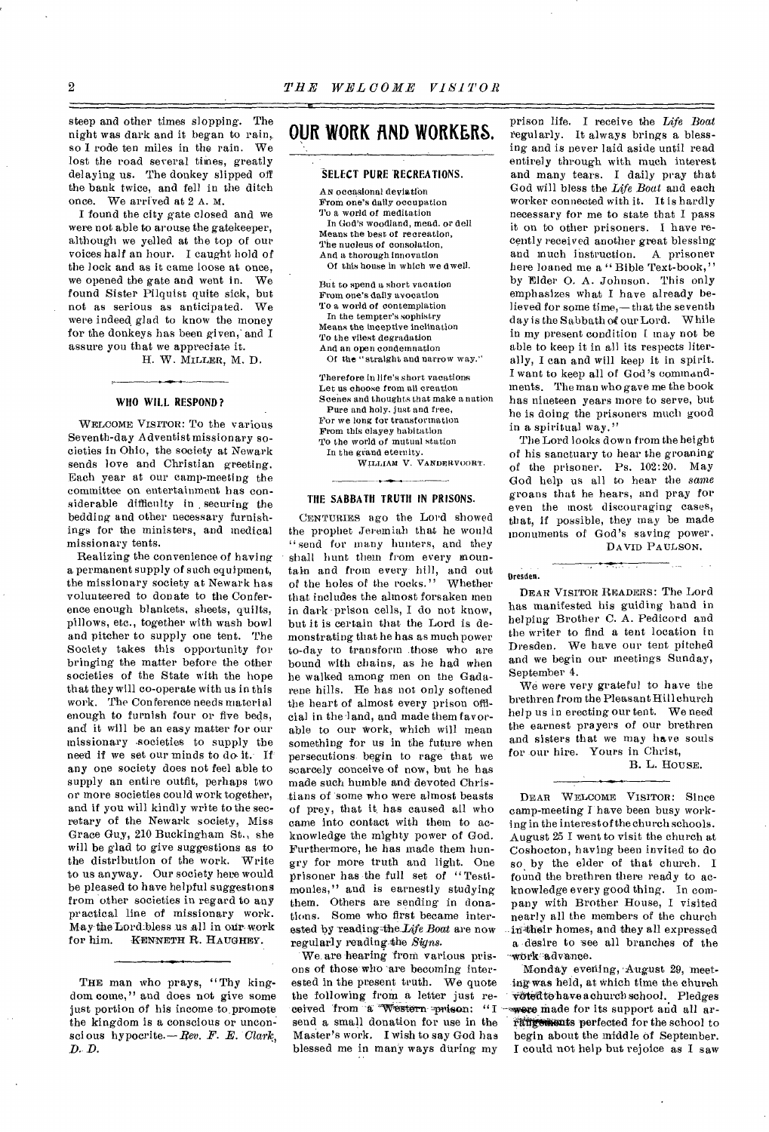steep and other times slopping. The night was dark and it began to rain,. so I rode ten miles in the rain. We lost the road several times, greatly delaying us. The donkey slipped off the bank twice, and fell in the ditch once. We arrived at 2 A. M.

I found the city gate closed and we were not able to arouse the gatekeeper, although we yelled at the top of our voices half an hour. I caught hold of the lock and as it came loose at once, we opened the gate and went in. We found Sister Pilquist quite sick, but not as serious as anticipated. We were indeed glad to know the money for the donkeys has been given, and I assure you that we appreciate it.

H. W. MILLER, M. D.

#### **WHO WILL RESPOND?**

WELCOME VISITOR: To the various Seventh-day Adventist missionary societies in Ohio, the society at Newark sends love and Christian greeting. Each year at our camp-meeting the committee on entertainment has considerable difficulty in securing the bedding and other necessary furnishings for the ministers, and medical missionary tents.

Realizing the convenience of having a permanent supply of such equipment, the missionary society at Newark has volunteered to donate to the Conference enough blankets, sheets, quilts, pillows, etc., together with wash bowl and pitcher to supply one tent. The Society takes this opportunity for bringing the matter before the other societies of the State with the hope that they will co-operate with us in this work. The Conference needs material enough to furnish four or five beds, and it will be an easy matter for our missionary societies to supply the need if we set our minds to do it. If any one society does not feel able to supply an entire outfit, perhaps two or more societies could work together, and if you will kindly write to the secretary of the Newark society, Miss Grace Guy, 210 Buckingham St., she will be glad to give suggestions as to the distribution of the work. Write to us anyway. Our society here would be pleased to have helpful suggestions from other societies in regard to any practical line of missionary work. May the Lord-bless us all in our work<br>for him. KENNETH R. HAUGHEY. KENNETH R. HAUGHEY.

# **OUR WORK fiND WORKERS.**

### **SELECT PURE 'RECREATIONS.**

AN occasional deviation From one's daily occupation To a world of meditation In God's woodland, mead. or dell Means the best of recreation, The nucleus of consolation, And a thorough innovation Of this house in which we dwell.

But to spend a short vacation From one's daily avocation To a world of contemplation In the tempter's sophistry Means the inceptive inclination To the vilest degradation And an open condemnation Of the "straight and narrow way."

Therefore in life's short vacations Let us choose from all creation Scenes and thoughts that make a nation Pure and holy. just and free, For we long for transformation From this clayey habitation To the world of mutual station

In the grand eternity.

WILLIAM V. VANDERVOORT.

#### **THE SABBATH TRUTH IN PRISONS.**

CENTURIES ago the Lord showed the prophet Jeremiah that he would "send for many hunters, and they shall bunt them from every mountain and from every hill, and out<br>of the holes of the rocks." Whether of the holes of the rocks." that includes the almost forsaken men in dark-prison cells, I do not know, but it is certain that the Lord is demonstrating that he has as much power to-day to transform those who are bound with chains, as he had when he walked among men on the Gadarene hills. He has not only softened the heart of almost every prison official in the-land, and made them favorable to our work, which will mean something for us in the future when persecutions- begin to rage that we scarcely conceive of now, but he has made such humble and devoted Christians of 'some who were almost beasts of prey, that it. has caused all who came into contact with them to acknowledge the mighty power of God. Furthermore, he has made them hungry for more truth and light. One prisoner has the full set of " Testimonies," and is earnestly studying them. Others are sending in donations. Some who first became interested by reading-the-Life *Boat* are now regularly reacling,the *Signs.* 

*•We.are* hearing front various prisons of those who 'are becoming interested in the present truth. We quote the following from\_ a letter just received from a Western-prison: "I send a small donation for use in the Master's work. I wish to say God has blessed me in many ways during my

prison life. I receive the *Life Boat*  regularly. It always brings a blessing and is never laid aside until read entirely through with much interest and many tears. I daily pray that God will bless the *Life Boat* and each worker connected with it. It is hardly necessary for me to state that I pass it on to other prisoners. I have recently received another great blessing and much instruction. A prisoner here loaned me a " Bible Text-book," by Elder 0. A. Johnson. This only emphasizes what I have already believed for some time,— th at the seventh day is the Sabbath of our Lord. While in my present condition I may not be able to keep it in all its respects literally, I can and will keep it in spirit. I want to keep all of God's commandments. The man who gave me the book has nineteen years more to serve, but he is doing the prisoners much good in a spiritual way."

The Lord looks down from the height of his sanctuary to hear the groaning of the prisoner. Ps. 102:20. May God help us all to hear the *same*  groans that he hears, and pray for even the most discouraging cases, that, if possible, they may be made monuments of God's saving power.

# DAVID PAULSON.

#### Dresden.

DEAR VISITOR READERS: The Lord has manifested his guiding hand in helping Brother C. A. Pedicord and the writer to find a tent location in Dresden. We have our tent pitched and we begin our meetings Sunday, September 4.

We were very grateful to have the brethren from the Pleasant Hill church help us in erecting our tent. We need the earnest prayers of our brethren and sisters that we may have souls for our hire. Yours in Christ,

# B. L. HOUSE.

DEAR WELCOME VISITOR: Since camp-meeting I have been busy working in the interest of the church schools. August 25 I went to visit the church at Coshocton, having been invited to do so.by the elder of that church. I found the brethren there ready to acknowledge every good thing. In company with Brother House, I visited nearly all the members of the church in their homes, and they all expressed a desire to see all branches of the -~wOricadvance.

Monday evening, August 29, meeting was held, at which time the church voted to have a church school. Pledges were made for its support and all arrangements perfected for the school to begin about the middle of September. I could not help but rejoice as I saw

THE man who prays, "Thy kingdom come," and does not give some just portion of his income to promote the kingdom is a conscious or unconsci ous hypocrite.— *Rev. F. B. Clark, D. D.*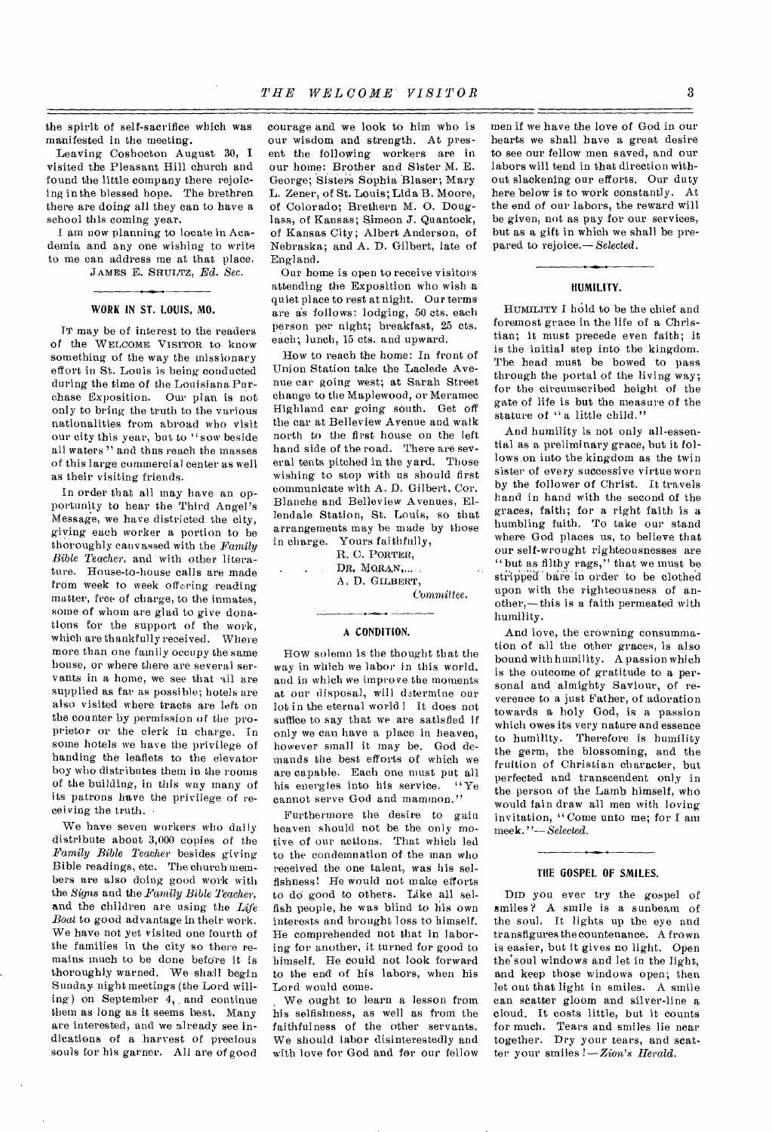the spirit of self-sacrifice which was manifested in the meeting.

Leaving Coshocton August 30, I visited the Pleasant Hill church and found the little company there rejoicing in the blessed hope. The brethren there are doing all they can to have a school this coming year.

I am now planning to locate in Academia and any one wishing to write to me can address me at that place. JAMES E. SHULTZ, *Ed. Sec.* 

#### **WORK IN ST. LOUIS, MO.**

IT may be of interest to the readers of the WELCOME VISITOR to know something of the way the missionary effort in St. Louis is being conducted during the time of the Louisiana Purchase Exposition. Our plan is not only to bring the truth to the various nationalities from abroad who visit our city this year, but to "sow beside all waters " and thus reach the masses of this large commercial center as well as their visiting friends.

In order that all may have an opportunity to hear the Third Angel's Message, we have districted the city, giving each worker a portion to be thoroughly canvassed with the *Family Bible Teacher,* and 'with other literature. House-to-house calls are made from week to week offering reading matter, free of charge, to the inmates, some of whom are glad to give donations for the support of the work, which are thankfully received. Where more than one family occupy the same house, or where there are several servants in a home, we see that all are supplied as far as possible; hotels are also visited where tracts are left on the counter by permission of the proprietor or the clerk in charge. In some hotels we have the privilege of handing the leaflets to the elevator boy who distributes them in the rooms of the building, in this way many of its patrons have the privilege of receiving the truth. •

We have seven workers who daily distribute about 3,000 copies of the *Family Bible Teacher* besides giving Bible readings, etc. The church members are also doing good work with the *Signs* and the *Family Bible Teacher,*  and the children are using the *Life Boat* to good advantage in their work. We have not yet visited one fourth of the families in the city so there remains much to be done before it is thoroughly warned. We shall begin Sunday night meetings (the Lord willing) on September 4, and continue them as long as it seems best. Many are interested, and we already see indications of a harvest of precious souls for his garner. All are of good courage and we look to him who is our wisdom and strength. At present the following workers are in our home: Brother and Sister M. E. George; Sisters' Sophia Blaser; Mary L. Zener, of St. Louis; Lida B. Moore, of Colorado; Brethern M. 0. Douglass, of Kansas; Simeon J. Quantock, of Kansas City; Albert Anderson, of Nebraska; and A. **D.** Gilbert, late of England.

Our home is open to receive visitors attending the Exposition who wish a quiet place to rest at night. Our terms are as follows: lodging, 50 cts. each person per night; breakfast, 25 cts. each; lunch, 15 cts. and upward.

How to reach the home: In front of Union Station take the Laclede Avenue car going west; at Sarah Street change to the Maplewood, or Meramec Highland car going south. Get off the car at Belleview Avenue and walk north to the first house on the left hand side of the road. There are several tents pitched in the yard. Those wishing to stop with us should first communicate with A. D. Gilbert, Cor. Blanche and Belleview Avenues, Ellendale Station, St. Louis, so that arrangements may be made by those in charge. Yours faithfully,

R. C. PORTER, DR. MORAN, ..... A. D. GILBERT,

*Committee.* 

#### A **CONDITION.**

How solemn is the thought that the way in which we labor in this world. and in which we improve the moments at our disposal, will determine our lot in the eternal world ! It does not suffice to say that we are satisfied if only we can have a place in heaven, however small it may be. God demands the best efforts of which we are capable. Each one must put all his energies into his service. "Ye cannot serve God and mammon."

Furthermore the desire to gain heaven should not be the only motive of our actions. That which led to the condemnation of the man who received the one talent, was his selfishness: He would not make efforts to do good to others. Like all selfish people, he was blind to his own interests and brought loss to himself. He comprehended not that in laboring for another, it turned for good to himself. He could not look forward to the end of his labors, when his Lord would come.

We ought to learn a lesson from his selfishness, as well as from the faithfulness of the other servants. We should labor disinterestedly and with love for God and for our fellow

men if we have the love of God in our hearts we shall have a great desire to see our fellow men saved, and our labors will tend in that direction without slackening our efforts. Our duty here below is to work constantly. At the end of our labors, the reward will be given, not as pay for our services, but as a gift in which we shall be prepared to rejoice.— *Selected.* 

#### **HUMILITY.**

HUMILITY I hold to be the chief and foremost grace in the life of a Christian; it must precede even faith; it is the initial step into the kingdom. The head must be bowed to pass through the portal of the living way; for the circumscribed height of the gate of life is but the measure of the stature of "a little child."

And humility is not only all-essential as a preliminary grace, but it follows on into the kingdom as the twin sister of every successive virtue worn by the follower of Christ. It travels hand in hand with the second of the graces, faith; for a right faith is a humbling faith. To take our stand where God places us, to believe that our self-wrought righteousnesses are "but as filthy rags," that we must be stripped bare in order to be clothed upon with the righteousness of another,—this is a faith permeated with humility.

And love, the crowning consummation of all the other graces, is also bound with humility. A passion which is the outcome of gratitude to a personal and almighty Saviour, of reverence to a just Father, of adoration towards a holy God, is a passion which owes its very nature and essence to humility. Therefore is humility the germ, the blossoming, and the fruition of Christian character, but perfected and transcendent only in the person of the Lamb himself, who would fain draw all men with loving invitation, "Come unto me; for I am meek. "-- *Selected.* 

#### **THE GOSPEL OF SMILES.**

DID you ever try the gospel of smiles ? A smile is a sunbeam of the soul. It lights up the eye and transfigures the countenance. A frown is easier, but it gives no light. Open the'soul windows and let in the light, and keep those windows open; then let out that light in smiles. A smile can scatter gloom and silver-line a cloud. It costs little, but it counts for much. Tears and smiles lie near together. Dry your tears, and scatter your smiles !— *Zion's Herald.*